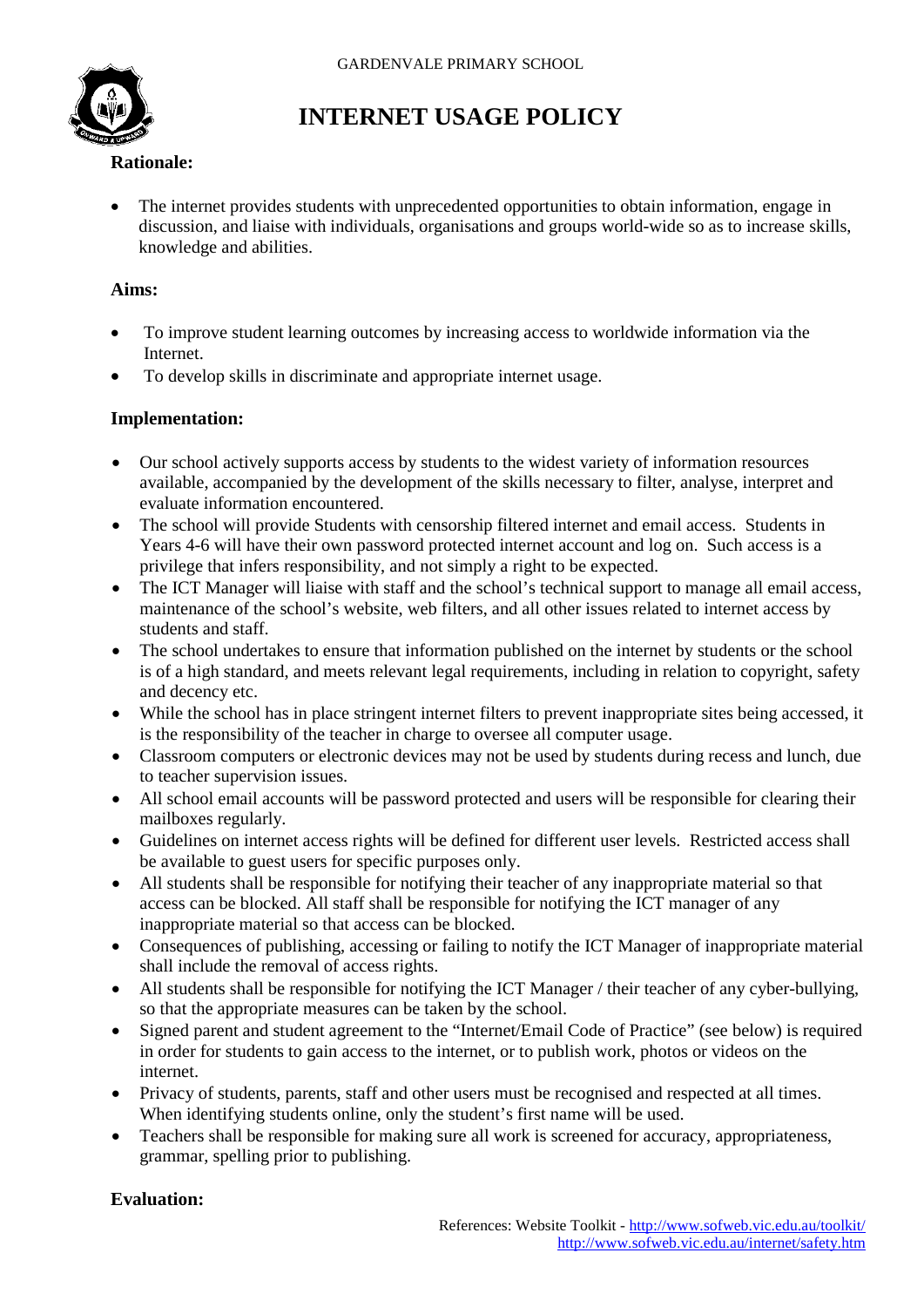

# **INTERNET USAGE POLICY**

### **Rationale:**

• The internet provides students with unprecedented opportunities to obtain information, engage in discussion, and liaise with individuals, organisations and groups world-wide so as to increase skills, knowledge and abilities.

### **Aims:**

- To improve student learning outcomes by increasing access to worldwide information via the **Internet**
- To develop skills in discriminate and appropriate internet usage.

### **Implementation:**

- Our school actively supports access by students to the widest variety of information resources available, accompanied by the development of the skills necessary to filter, analyse, interpret and evaluate information encountered.
- The school will provide Students with censorship filtered internet and email access. Students in Years 4-6 will have their own password protected internet account and log on. Such access is a privilege that infers responsibility, and not simply a right to be expected.
- The ICT Manager will liaise with staff and the school's technical support to manage all email access, maintenance of the school's website, web filters, and all other issues related to internet access by students and staff.
- The school undertakes to ensure that information published on the internet by students or the school is of a high standard, and meets relevant legal requirements, including in relation to copyright, safety and decency etc.
- While the school has in place stringent internet filters to prevent inappropriate sites being accessed, it is the responsibility of the teacher in charge to oversee all computer usage.
- Classroom computers or electronic devices may not be used by students during recess and lunch, due to teacher supervision issues.
- All school email accounts will be password protected and users will be responsible for clearing their mailboxes regularly.
- Guidelines on internet access rights will be defined for different user levels. Restricted access shall be available to guest users for specific purposes only.
- All students shall be responsible for notifying their teacher of any inappropriate material so that access can be blocked. All staff shall be responsible for notifying the ICT manager of any inappropriate material so that access can be blocked.
- Consequences of publishing, accessing or failing to notify the ICT Manager of inappropriate material shall include the removal of access rights.
- All students shall be responsible for notifying the ICT Manager / their teacher of any cyber-bullying, so that the appropriate measures can be taken by the school.
- Signed parent and student agreement to the "Internet/Email Code of Practice" (see below) is required in order for students to gain access to the internet, or to publish work, photos or videos on the internet.
- Privacy of students, parents, staff and other users must be recognised and respected at all times. When identifying students online, only the student's first name will be used.
- Teachers shall be responsible for making sure all work is screened for accuracy, appropriateness, grammar, spelling prior to publishing.

#### **Evaluation:**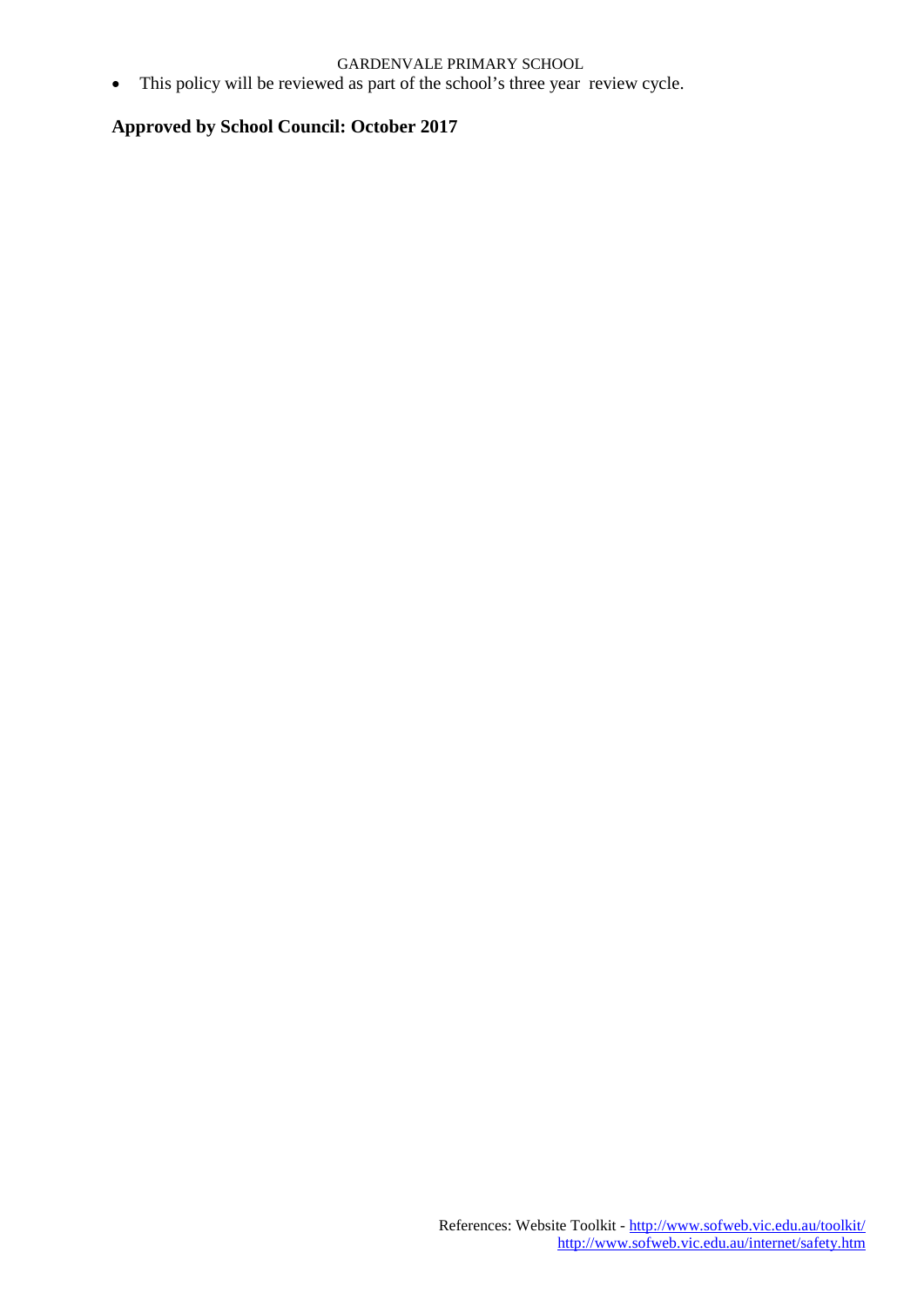#### GARDENVALE PRIMARY SCHOOL

• This policy will be reviewed as part of the school's three year review cycle.

#### **Approved by School Council: October 2017**